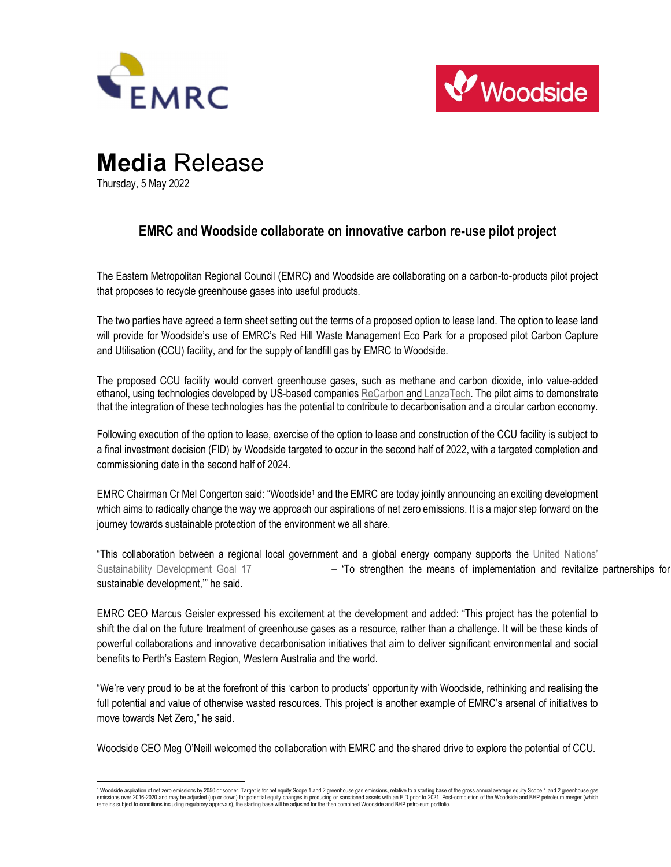



# Media Release Thursday, 5 May 2022

## EMRC and Woodside collaborate on innovative carbon re-use pilot project

The Eastern Metropolitan Regional Council (EMRC) and Woodside are collaborating on a carbon-to-products pilot project that proposes to recycle greenhouse gases into useful products.

The two parties have agreed a term sheet setting out the terms of a proposed option to lease land. The option to lease land will provide for Woodside's use of EMRC's Red Hill Waste Management Eco Park for a proposed pilot Carbon Capture and Utilisation (CCU) facility, and for the supply of landfill gas by EMRC to Woodside.

The proposed CCU facility would convert greenhouse gases, such as methane and carbon dioxide, into value-added ethanol, using technologies developed by US-based companies ReCarbon and LanzaTech. The pilot aims to demonstrate that the integration of these technologies has the potential to contribute to decarbonisation and a circular carbon economy.

Following execution of the option to lease, exercise of the option to lease and construction of the CCU facility is subject to a final investment decision (FID) by Woodside targeted to occur in the second half of 2022, with a targeted completion and commissioning date in the second half of 2024.

EMRC Chairman Cr Mel Congerton said: "Woodside<sup>1</sup> and the EMRC are today jointly announcing an exciting development which aims to radically change the way we approach our aspirations of net zero emissions. It is a major step forward on the journey towards sustainable protection of the environment we all share.

"This collaboration between a regional local government and a global energy company supports the United Nations' Sustainability Development Goal 17 –  $\blacksquare$  - 'To strengthen the means of implementation and revitalize partnerships for sustainable development,'" he said.

EMRC CEO Marcus Geisler expressed his excitement at the development and added: "This project has the potential to shift the dial on the future treatment of greenhouse gases as a resource, rather than a challenge. It will be these kinds of powerful collaborations and innovative decarbonisation initiatives that aim to deliver significant environmental and social benefits to Perth's Eastern Region, Western Australia and the world.

"We're very proud to be at the forefront of this 'carbon to products' opportunity with Woodside, rethinking and realising the full potential and value of otherwise wasted resources. This project is another example of EMRC's arsenal of initiatives to move towards Net Zero," he said.

Woodside CEO Meg O'Neill welcomed the collaboration with EMRC and the shared drive to explore the potential of CCU.

<sup>&</sup>lt;sup>1</sup> Woodside aspiration of net zero emissions by 2050 or sooner. Target is for net equity Scope 1 and 2 greenhouse gas emissions, relative to a starting base of the gross annual average equity Scope 1 and 2 greenhouse gas emissions over 2016-2020 and may be adjusted (up or down) for potential equity changes in producing or sanctioned assets with an FID prior to 2021. Post-completion of the Woodside and BHP petroleum merger (which remains subject to conditions including regulatory approvals), the starting base will be adjusted for the then combined Woodside and BHP petroleum portfolio.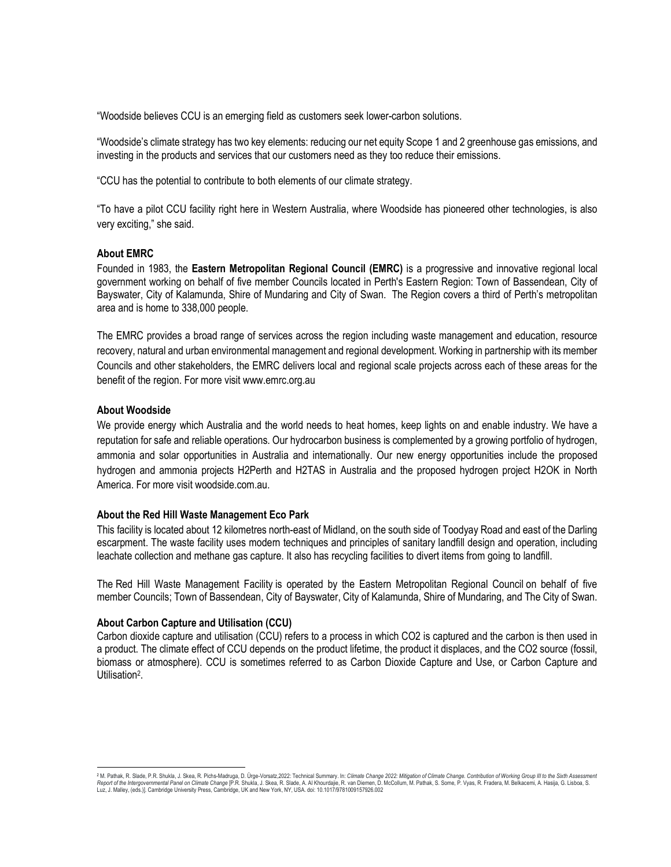"Woodside believes CCU is an emerging field as customers seek lower-carbon solutions.

"Woodside's climate strategy has two key elements: reducing our net equity Scope 1 and 2 greenhouse gas emissions, and investing in the products and services that our customers need as they too reduce their emissions.

"CCU has the potential to contribute to both elements of our climate strategy.

"To have a pilot CCU facility right here in Western Australia, where Woodside has pioneered other technologies, is also very exciting," she said.

#### About EMRC

Founded in 1983, the Eastern Metropolitan Regional Council (EMRC) is a progressive and innovative regional local government working on behalf of five member Councils located in Perth's Eastern Region: Town of Bassendean, City of Bayswater, City of Kalamunda, Shire of Mundaring and City of Swan. The Region covers a third of Perth's metropolitan area and is home to 338,000 people.

The EMRC provides a broad range of services across the region including waste management and education, resource recovery, natural and urban environmental management and regional development. Working in partnership with its member Councils and other stakeholders, the EMRC delivers local and regional scale projects across each of these areas for the benefit of the region. For more visit www.emrc.org.au

#### About Woodside

We provide energy which Australia and the world needs to heat homes, keep lights on and enable industry. We have a reputation for safe and reliable operations. Our hydrocarbon business is complemented by a growing portfolio of hydrogen, ammonia and solar opportunities in Australia and internationally. Our new energy opportunities include the proposed hydrogen and ammonia projects H2Perth and H2TAS in Australia and the proposed hydrogen project H2OK in North America. For more visit woodside.com.au.

#### About the Red Hill Waste Management Eco Park

This facility is located about 12 kilometres north-east of Midland, on the south side of Toodyay Road and east of the Darling escarpment. The waste facility uses modern techniques and principles of sanitary landfill design and operation, including leachate collection and methane gas capture. It also has recycling facilities to divert items from going to landfill.

The Red Hill Waste Management Facility is operated by the Eastern Metropolitan Regional Council on behalf of five member Councils; Town of Bassendean, City of Bayswater, City of Kalamunda, Shire of Mundaring, and The City of Swan.

#### About Carbon Capture and Utilisation (CCU)

Carbon dioxide capture and utilisation (CCU) refers to a process in which CO2 is captured and the carbon is then used in a product. The climate effect of CCU depends on the product lifetime, the product it displaces, and the CO2 source (fossil, biomass or atmosphere). CCU is sometimes referred to as Carbon Dioxide Capture and Use, or Carbon Capture and Utilisation<sup>2</sup>.

<sup>&</sup>lt;sup>2</sup> M. Pathak, R. Slade, P.R. Shukla, J. Skea, R. Pichs-Madruga, D. Ürge-Vorsatz,2022: Technical Summary. In: *Climate Change 2022: Mitigation of Climate Change. Contribution of Working Group III to the Sixth Assessment<br>*